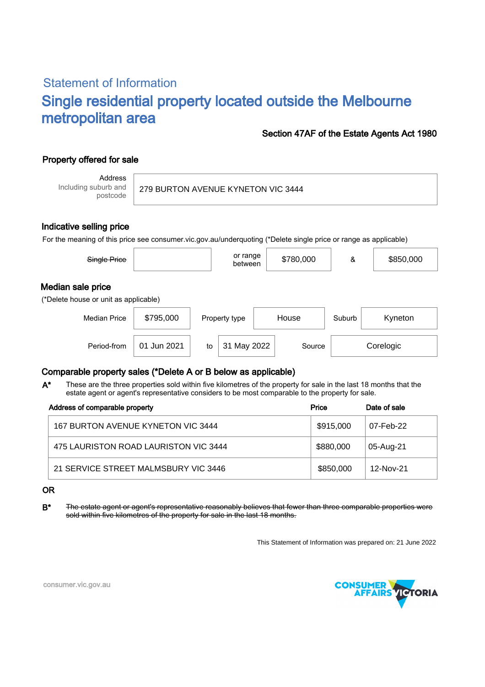# Statement of Information Single residential property located outside the Melbourne metropolitan area

#### Section 47AF of the Estate Agents Act 1980

## Property offered for sale

Address Including suburb and postcode

#### Indicative selling price

For the meaning of this price see consumer.vic.gov.au/underquoting (\*Delete single price or range as applicable)

| Single Price                                               |             |    | or range<br>between |       | \$780,000 | &      | \$850,000 |
|------------------------------------------------------------|-------------|----|---------------------|-------|-----------|--------|-----------|
| Median sale price<br>(*Delete house or unit as applicable) |             |    |                     |       |           |        |           |
| <b>Median Price</b>                                        | \$795,000   |    | Property type       | House |           | Suburb | Kyneton   |
| Period-from                                                | 01 Jun 2021 | to | 31 May 2022         |       | Source    |        | Corelogic |

### Comparable property sales (\*Delete A or B below as applicable)

These are the three properties sold within five kilometres of the property for sale in the last 18 months that the estate agent or agent's representative considers to be most comparable to the property for sale. A\*

| Address of comparable property        | Price     | Date of sale |  |
|---------------------------------------|-----------|--------------|--|
| 167 BURTON AVENUE KYNETON VIC 3444    | \$915,000 | 07-Feb-22    |  |
| 475 LAURISTON ROAD LAURISTON VIC 3444 | \$880,000 | 05-Aug-21    |  |
| 21 SERVICE STREET MALMSBURY VIC 3446  | \$850,000 | 12-Nov-21    |  |

#### OR

B\* The estate agent or agent's representative reasonably believes that fewer than three comparable properties were sold within five kilometres of the property for sale in the last 18 months.

This Statement of Information was prepared on: 21 June 2022



consumer.vic.gov.au